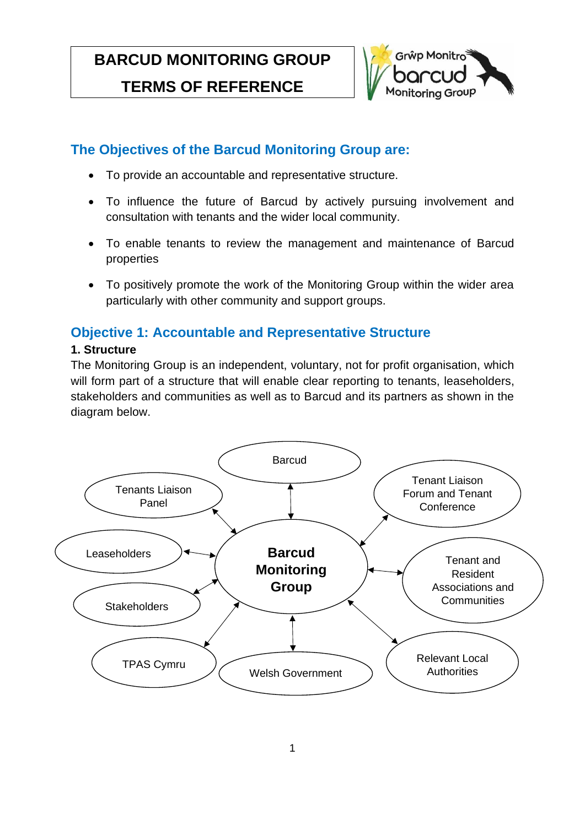# **BARCUD MONITORING GROUP**

#### Partici[pation **TERMS OF REFERENCE**



# **The Objectives of the Barcud Monitoring Group are:**

- To provide an accountable and representative structure.
- To influence the future of Barcud by actively pursuing involvement and consultation with tenants and the wider local community.
- To enable tenants to review the management and maintenance of Barcud properties
- To positively promote the work of the Monitoring Group within the wider area particularly with other community and support groups.

# **Objective 1: Accountable and Representative Structure**

## **1. Structure**

The Monitoring Group is an independent, voluntary, not for profit organisation, which will form part of a structure that will enable clear reporting to tenants, leaseholders, stakeholders and communities as well as to Barcud and its partners as shown in the diagram below.

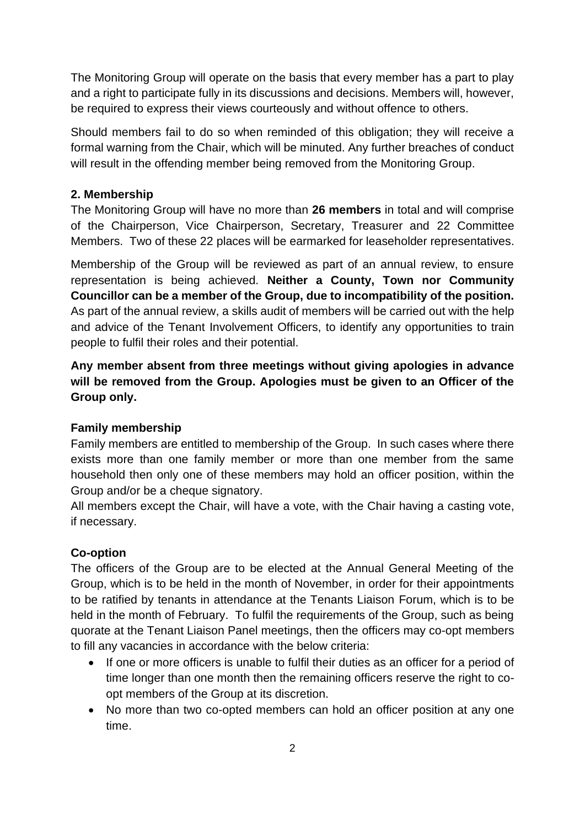The Monitoring Group will operate on the basis that every member has a part to play and a right to participate fully in its discussions and decisions. Members will, however, be required to express their views courteously and without offence to others.

Should members fail to do so when reminded of this obligation; they will receive a formal warning from the Chair, which will be minuted. Any further breaches of conduct will result in the offending member being removed from the Monitoring Group.

### **2. Membership**

The Monitoring Group will have no more than **26 members** in total and will comprise of the Chairperson, Vice Chairperson, Secretary, Treasurer and 22 Committee Members. Two of these 22 places will be earmarked for leaseholder representatives.

Membership of the Group will be reviewed as part of an annual review, to ensure representation is being achieved. **Neither a County, Town nor Community Councillor can be a member of the Group, due to incompatibility of the position.**  As part of the annual review, a skills audit of members will be carried out with the help and advice of the Tenant Involvement Officers, to identify any opportunities to train people to fulfil their roles and their potential.

**Any member absent from three meetings without giving apologies in advance will be removed from the Group. Apologies must be given to an Officer of the Group only.** 

### **Family membership**

Family members are entitled to membership of the Group. In such cases where there exists more than one family member or more than one member from the same household then only one of these members may hold an officer position, within the Group and/or be a cheque signatory.

All members except the Chair, will have a vote, with the Chair having a casting vote, if necessary.

### **Co-option**

The officers of the Group are to be elected at the Annual General Meeting of the Group, which is to be held in the month of November, in order for their appointments to be ratified by tenants in attendance at the Tenants Liaison Forum, which is to be held in the month of February. To fulfil the requirements of the Group, such as being quorate at the Tenant Liaison Panel meetings, then the officers may co-opt members to fill any vacancies in accordance with the below criteria:

- If one or more officers is unable to fulfil their duties as an officer for a period of time longer than one month then the remaining officers reserve the right to coopt members of the Group at its discretion.
- No more than two co-opted members can hold an officer position at any one time.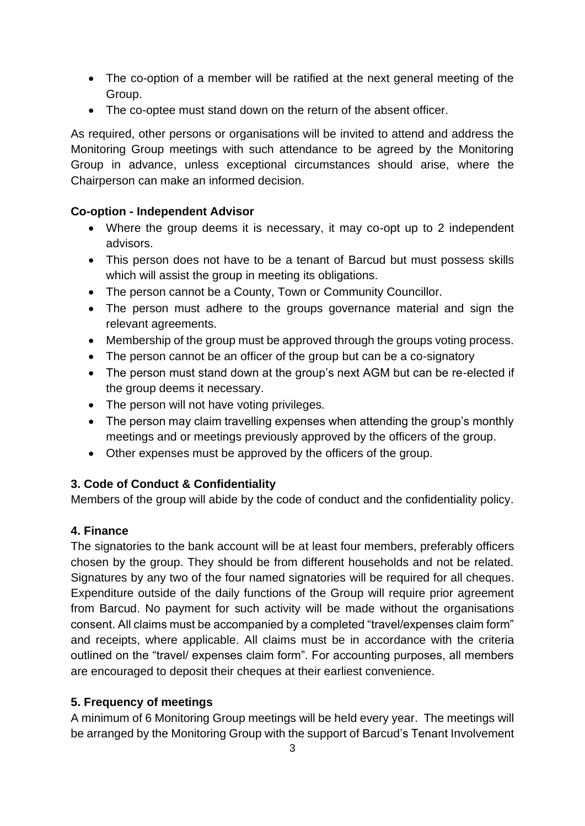- The co-option of a member will be ratified at the next general meeting of the Group.
- The co-optee must stand down on the return of the absent officer.

As required, other persons or organisations will be invited to attend and address the Monitoring Group meetings with such attendance to be agreed by the Monitoring Group in advance, unless exceptional circumstances should arise, where the Chairperson can make an informed decision.

### **Co-option - Independent Advisor**

- Where the group deems it is necessary, it may co-opt up to 2 independent advisors.
- This person does not have to be a tenant of Barcud but must possess skills which will assist the group in meeting its obligations.
- The person cannot be a County, Town or Community Councillor.
- The person must adhere to the groups governance material and sign the relevant agreements.
- Membership of the group must be approved through the groups voting process.
- The person cannot be an officer of the group but can be a co-signatory
- The person must stand down at the group's next AGM but can be re-elected if the group deems it necessary.
- The person will not have voting privileges.
- The person may claim travelling expenses when attending the group's monthly meetings and or meetings previously approved by the officers of the group.
- Other expenses must be approved by the officers of the group.

### **3. Code of Conduct & Confidentiality**

Members of the group will abide by the code of conduct and the confidentiality policy.

### **4. Finance**

The signatories to the bank account will be at least four members, preferably officers chosen by the group. They should be from different households and not be related. Signatures by any two of the four named signatories will be required for all cheques. Expenditure outside of the daily functions of the Group will require prior agreement from Barcud. No payment for such activity will be made without the organisations consent. All claims must be accompanied by a completed "travel/expenses claim form" and receipts, where applicable. All claims must be in accordance with the criteria outlined on the "travel/ expenses claim form". For accounting purposes, all members are encouraged to deposit their cheques at their earliest convenience.

### **5. Frequency of meetings**

A minimum of 6 Monitoring Group meetings will be held every year. The meetings will be arranged by the Monitoring Group with the support of Barcud's Tenant Involvement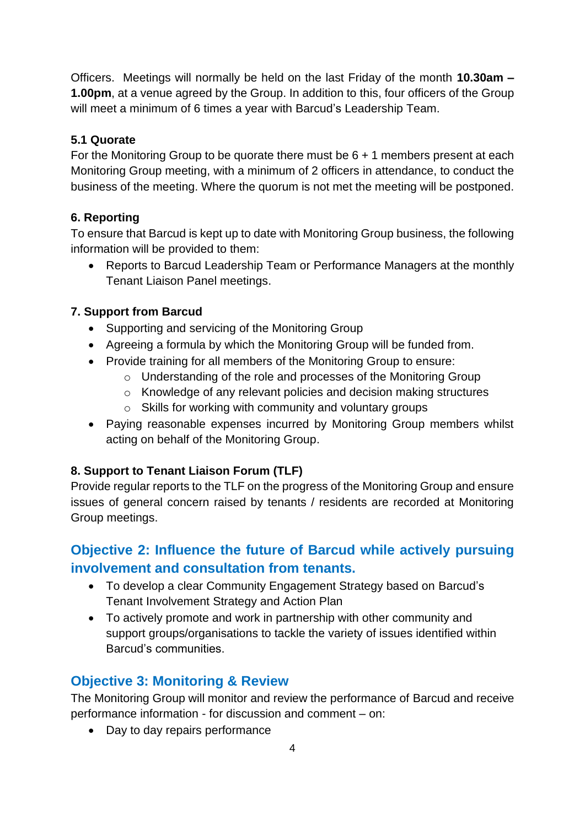Officers. Meetings will normally be held on the last Friday of the month **10.30am – 1.00pm**, at a venue agreed by the Group. In addition to this, four officers of the Group will meet a minimum of 6 times a year with Barcud's Leadership Team.

## **5.1 Quorate**

For the Monitoring Group to be quorate there must be 6 + 1 members present at each Monitoring Group meeting, with a minimum of 2 officers in attendance, to conduct the business of the meeting. Where the quorum is not met the meeting will be postponed.

## **6. Reporting**

To ensure that Barcud is kept up to date with Monitoring Group business, the following information will be provided to them:

• Reports to Barcud Leadership Team or Performance Managers at the monthly Tenant Liaison Panel meetings.

## **7. Support from Barcud**

- Supporting and servicing of the Monitoring Group
- Agreeing a formula by which the Monitoring Group will be funded from.
- Provide training for all members of the Monitoring Group to ensure:
	- o Understanding of the role and processes of the Monitoring Group
	- o Knowledge of any relevant policies and decision making structures
	- o Skills for working with community and voluntary groups
- Paying reasonable expenses incurred by Monitoring Group members whilst acting on behalf of the Monitoring Group.

# **8. Support to Tenant Liaison Forum (TLF)**

Provide regular reports to the TLF on the progress of the Monitoring Group and ensure issues of general concern raised by tenants / residents are recorded at Monitoring Group meetings.

# **Objective 2: Influence the future of Barcud while actively pursuing involvement and consultation from tenants.**

- To develop a clear Community Engagement Strategy based on Barcud's Tenant Involvement Strategy and Action Plan
- To actively promote and work in partnership with other community and support groups/organisations to tackle the variety of issues identified within Barcud's communities.

# **Objective 3: Monitoring & Review**

The Monitoring Group will monitor and review the performance of Barcud and receive performance information - for discussion and comment – on:

• Day to day repairs performance